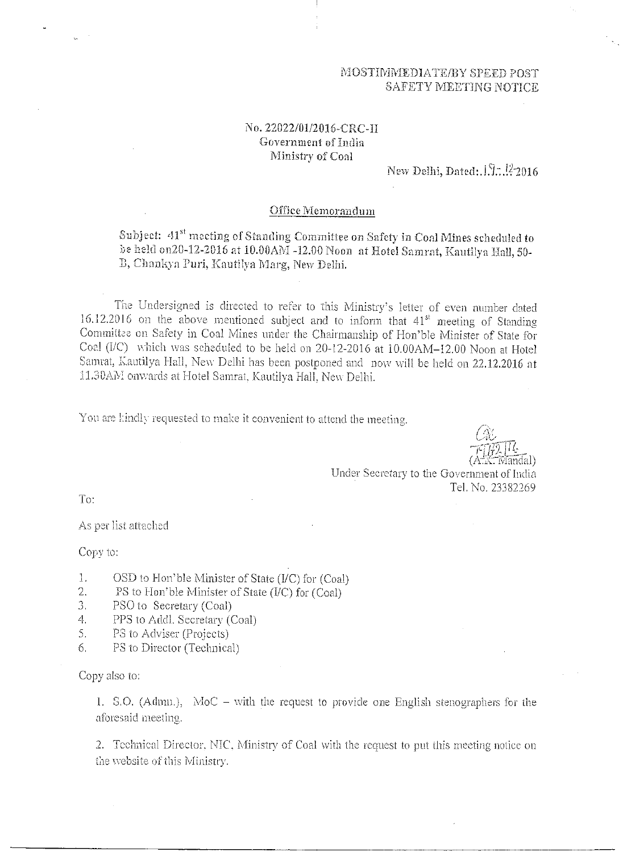### MOSTIMMEDIATE/BY SPEED POST SAFETY MEETING NOTICE

# No. 22022/01/2016-CRC-H Government of India Ministry of Coal

New Delhi, Dated:.  $1.3$ ...  $122016$ 

#### Office Memorandum

Subject:  $41^{st}$  meeting of Standing Committee on Safety in Coal Mines scheduled to be held on20-12-2016 at 10.00AM -12.00 Noon at Hotel Samrat, Kautilya Hall, 50-D, Chankya Puri, Kautilya Marg, New Delhi,

The Undersigned is directed to refer to this Ministry's letter of even number dated 16.12.2016 on the above mentioned subject and to inform that  $41<sup>st</sup>$  meeting of Standing Committee on Safety in Coal Mines under the Chairmanship of Hon'ble Minister of State for Coal ( $VC$ ) which was scheduled to be held on 20-12-2016 at  $10.00AM-12.00$  Noon at Hotel Samrat, Kautilya Hall, New Delhi has been postponed and now will be held on 22.12.2016 at 11.3DAM onwards at Hotel Samrat, Kautilya Hall, New Delhi.

You are kindly requested to make it convenient to attend the meeting.

 $\bar{\rm{Im}}$ dal)

Under Secretary to the Government of India Tel. No. 23382269

To:

As per list attached

Copy to:

- 1. OSD to Hon'ble Minister of State (I/C) for (Coal)
- 2. PS to Hon'ble Minister of State (I/C) for (Coal)
- 3. PSO to Secretary (Coal)
- 4. PPS to Addl. Secretary (Coal)
- 5. PS to Adviser (Projects)
- 6. PS to Director (Technical)

Copy also to:

1. S.O. (Admn.), MoC – with the request to provide one English stenographers for the aforesaid meeting.

2. Technical Director, NIC, Ministry of Coal with the request to put this meeting notice on the website of this Ministry.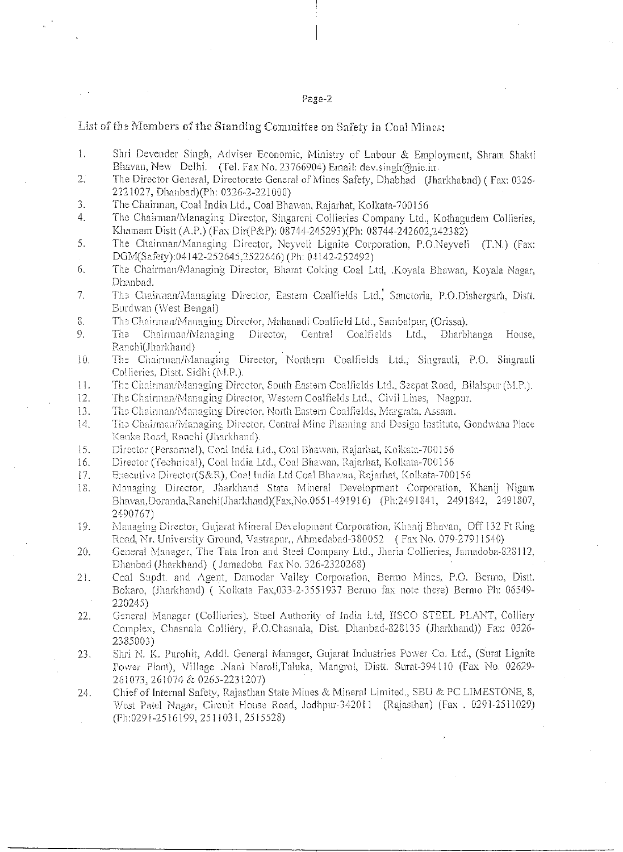### Page-2

## List of the Members of the Standing Committee on Safety in Coal Mines:

- 1. Shri Devender Singh, Adviser Economic, Ministry of Labour & Employment, Shram Shakti Bhavan, New Delhi. (Tel. Fax No. 23766904) Email: dev.singh@nic.in.
- 2. The Director General, Directorate General of Mines Safety, Dhabhad (Jharkhabnd) ( Fax: 0326- 2221027, Dhanbad)(Ph: 0326-2-221000)
- 3. The Chairman, Coal India Ltd., Coal Bhawan, Rajarhat, Kolkata-700156
- 4. The Chairman/Managing Director, Singareni Collieries Company Ltd., Kothagudem Collieries, Khamam Distt (A.P.) (Fax Dir(P&P): 08744-245293)(Ph: 08744-242602,242382)
- 5. The Chairman/Managing Director, Neyyeli Lignite Corporation, P.O.Neyveli (T.N.) (Fax: DaM(Safety):04142-252645,2522646) (Ph: 04142-252492)
- 6. The Chairman/Managing Director, Bharat Coking Coal Ltd, .Koyala Bhawan, Koyala Nagar, Dhanbacl.
- 7. The Chairman/Managing Director, Eastern Coalfields Ltd., Sanctoria, P.O.Dishergarh, Distt. Burdwan (West Bengal)
- e. The Chairman/Managing Director, Mahanadi Coalfield Ltd., Samhalpar, (Orissa).
- 9. The Chairman/Managing Director, Central Coalfields Ltd., Dharbhanga House, Ranchi(Jharkhand)
- 10. The Chairman/Managing Director, Northern Coalfields Ltd.; Singrauli, P.O. Shigrauli Collieries, Distt. Sidhi (M.P.).
- 11. The Chairman/Managing Director, South Eastern Coalfields Ltd., Secpat Road, BilaIspur (M.P.).
- 12. The Chairman/Managing Director, Western Coalfields Ltd., Civil Lines, Nagpur.
- 13. The Chairman/Managing Director, North Eastern Coalfields, Margrata, Assam.
- 14. The Chairman/Managing Director, Central Mine Planning and Design Institute, Gondwana Place Kanke Road, Ranchi (Jharkhand).
- IS. Director (Personnel), Coal India Ltd., Coal Bhawan, Rajarhat, Koiltata-700156
- 16. Director (Technical), Coal India Ltd., Coal Bhawan, Rajarhat, Kolkata-700156
- 17. Executive Director(S&R), Coal India Ltd Coal Bhawan, Rajarhat, Kolkata-700156
- 18. Managing Director, Jharkhand State Mineral Development Corporation, Khanij Nigam Bloavan,Doranda,Ranchi(Jharkhand)(Fax,No.0651-491916) (Ph:2491841, 2491842, 2491807, 2190767)
- 19. Managing Director, Gujarat Mineral Development Corporation, Khanij Bhavan, Off 132 Ft Ring Road, Nr. University Ground, Vastrapur,, Ahmedabad-380052 ( Fax No. 079-27911540)
- 20. General Manager, The Tata Iron and Steel Company Ltd., Maria Collieries, Jamadoba-828112, Dkanbad (Jharkhand) ( Jamadoba Fax No. 326-2320268)
- 21. Coal Supdt. and Agent, Damodar Valley Corporation, Bermo Mines, P.O. Benno, Distt. Bokaro, (Jharkhand) ( Kolkata Fax, 033-2-3551937 Bermo fax note there) Bermo Ph: 06549-220245)
- 22. General Manager (Collieries) Steel Authority of India Ltd, IISCO STEEL PLANT, Colliery Complex, Chasnala Colliery, P.O.Chasnala, Dist. Dhanbad-828135 (Tharkband)) Fax: 0326- 2385003)
- 23. Shri N. K. Purohit, Addl. General Manager, Gujarat industries Power Co. Ltd., (Surat Lignite Power Plant), Village .Nani Naroli,Taluka, Mangrol, Distt. Surat-394110 (Fax No. 02629-261073, 261074 & 0265-2231207)
- 24. Chief of Internal Safety, Rajasthan State Mines & Mineral Limited., SBU & PC LIMESTONE, 8, West Patel Nagar, Circuit House Road, Jodhpur-342011 (Rajasthan) (Fax . 0291-2511029) (Ph:0291-2516199, 2511031, 2515528)